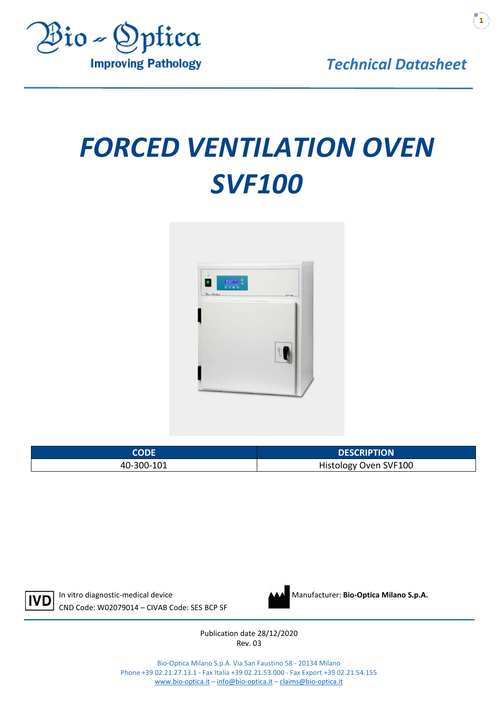

*Technical Datasheet*

# *FORCED VENTILATION OVEN SVF100*



| CODF       | <b>DESCRIPTION</b>    |
|------------|-----------------------|
| 40-300-101 | Histology Oven SVF100 |



In vitro diagnostic-medical device **Manufacturer: Bio-Optica Milano S.p.A.** Manufacturer: **Bio-Optica Milano S.p.A.** CND Code: W02079014 – CIVAB Code: SES BCP SF



Publication date 28/12/2020 Rev. 03

Bio-Optica Milano S.p.A. Via San Faustino 58 - 20134 Milano Phone +39 02.21.27.13.1 - Fax Italia +39 02.21.53.000 - Fax Export +39 02.21.54.155 [www.bio-optica.it](http://www.bio-optica.it/) – [info@bio-optica.it](mailto:info@bio-optica.it) – [claims@bio-optica.it](mailto:claims@bio-optica.it)